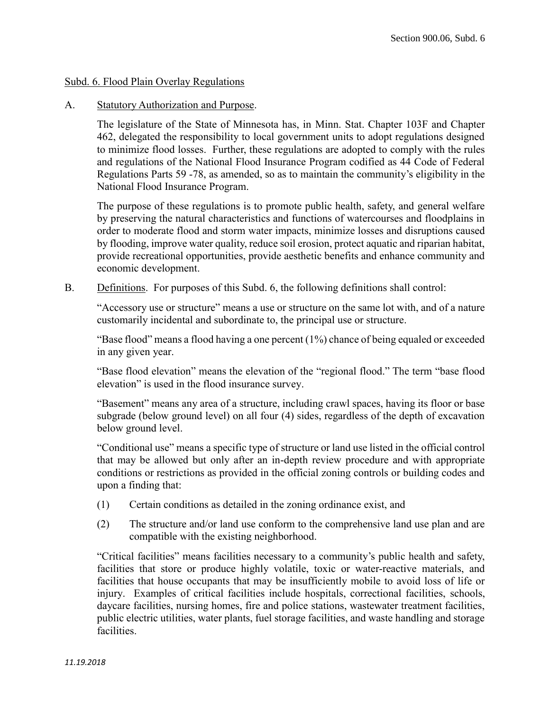#### Subd. 6. Flood Plain Overlay Regulations

#### A. Statutory Authorization and Purpose.

The legislature of the State of Minnesota has, in Minn. Stat. Chapter 103F and Chapter 462, delegated the responsibility to local government units to adopt regulations designed to minimize flood losses. Further, these regulations are adopted to comply with the rules and regulations of the National Flood Insurance Program codified as 44 Code of Federal Regulations Parts 59 -78, as amended, so as to maintain the community's eligibility in the National Flood Insurance Program.

The purpose of these regulations is to promote public health, safety, and general welfare by preserving the natural characteristics and functions of watercourses and floodplains in order to moderate flood and storm water impacts, minimize losses and disruptions caused by flooding, improve water quality, reduce soil erosion, protect aquatic and riparian habitat, provide recreational opportunities, provide aesthetic benefits and enhance community and economic development.

B. Definitions. For purposes of this Subd. 6, the following definitions shall control:

"Accessory use or structure" means a use or structure on the same lot with, and of a nature customarily incidental and subordinate to, the principal use or structure.

"Base flood" means a flood having a one percent (1%) chance of being equaled or exceeded in any given year.

"Base flood elevation" means the elevation of the "regional flood." The term "base flood elevation" is used in the flood insurance survey.

"Basement" means any area of a structure, including crawl spaces, having its floor or base subgrade (below ground level) on all four (4) sides, regardless of the depth of excavation below ground level.

"Conditional use" means a specific type of structure or land use listed in the official control that may be allowed but only after an in-depth review procedure and with appropriate conditions or restrictions as provided in the official zoning controls or building codes and upon a finding that:

- (1) Certain conditions as detailed in the zoning ordinance exist, and
- (2) The structure and/or land use conform to the comprehensive land use plan and are compatible with the existing neighborhood.

"Critical facilities" means facilities necessary to a community's public health and safety, facilities that store or produce highly volatile, toxic or water-reactive materials, and facilities that house occupants that may be insufficiently mobile to avoid loss of life or injury. Examples of critical facilities include hospitals, correctional facilities, schools, daycare facilities, nursing homes, fire and police stations, wastewater treatment facilities, public electric utilities, water plants, fuel storage facilities, and waste handling and storage facilities.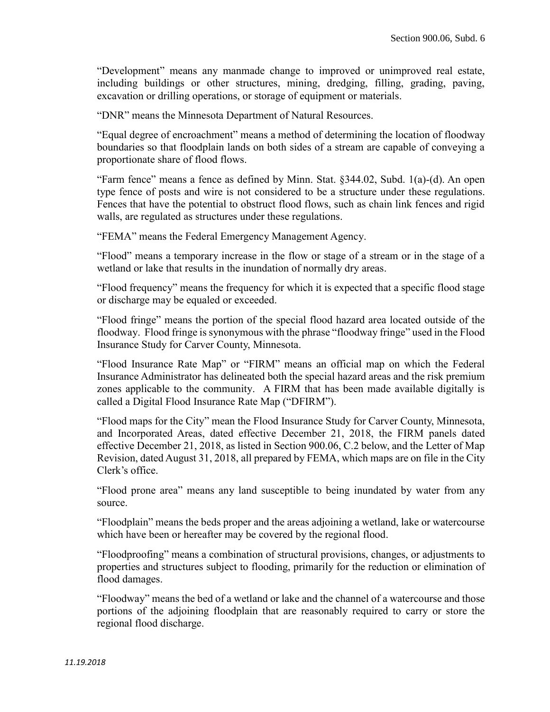"Development" means any manmade change to improved or unimproved real estate, including buildings or other structures, mining, dredging, filling, grading, paving, excavation or drilling operations, or storage of equipment or materials.

"DNR" means the Minnesota Department of Natural Resources.

"Equal degree of encroachment" means a method of determining the location of floodway boundaries so that floodplain lands on both sides of a stream are capable of conveying a proportionate share of flood flows.

"Farm fence" means a fence as defined by Minn. Stat. §344.02, Subd. 1(a)-(d). An open type fence of posts and wire is not considered to be a structure under these regulations. Fences that have the potential to obstruct flood flows, such as chain link fences and rigid walls, are regulated as structures under these regulations.

"FEMA" means the Federal Emergency Management Agency.

"Flood" means a temporary increase in the flow or stage of a stream or in the stage of a wetland or lake that results in the inundation of normally dry areas.

"Flood frequency" means the frequency for which it is expected that a specific flood stage or discharge may be equaled or exceeded.

"Flood fringe" means the portion of the special flood hazard area located outside of the floodway. Flood fringe is synonymous with the phrase "floodway fringe" used in the Flood Insurance Study for Carver County, Minnesota.

"Flood Insurance Rate Map" or "FIRM" means an official map on which the Federal Insurance Administrator has delineated both the special hazard areas and the risk premium zones applicable to the community. A FIRM that has been made available digitally is called a Digital Flood Insurance Rate Map ("DFIRM").

"Flood maps for the City" mean the Flood Insurance Study for Carver County, Minnesota, and Incorporated Areas, dated effective December 21, 2018, the FIRM panels dated effective December 21, 2018, as listed in Section 900.06, C.2 below, and the Letter of Map Revision, dated August 31, 2018, all prepared by FEMA, which maps are on file in the City Clerk's office.

"Flood prone area" means any land susceptible to being inundated by water from any source.

"Floodplain" means the beds proper and the areas adjoining a wetland, lake or watercourse which have been or hereafter may be covered by the regional flood.

"Floodproofing" means a combination of structural provisions, changes, or adjustments to properties and structures subject to flooding, primarily for the reduction or elimination of flood damages.

"Floodway" means the bed of a wetland or lake and the channel of a watercourse and those portions of the adjoining floodplain that are reasonably required to carry or store the regional flood discharge.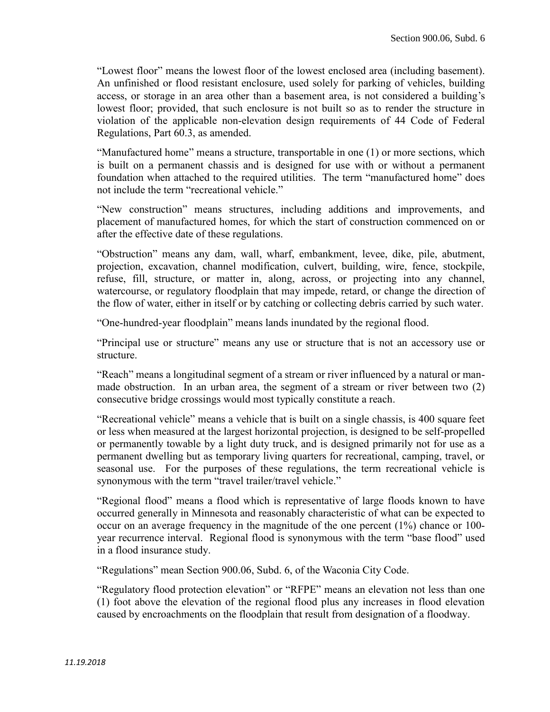"Lowest floor" means the lowest floor of the lowest enclosed area (including basement). An unfinished or flood resistant enclosure, used solely for parking of vehicles, building access, or storage in an area other than a basement area, is not considered a building's lowest floor; provided, that such enclosure is not built so as to render the structure in violation of the applicable non-elevation design requirements of 44 Code of Federal Regulations, Part 60.3, as amended.

"Manufactured home" means a structure, transportable in one (1) or more sections, which is built on a permanent chassis and is designed for use with or without a permanent foundation when attached to the required utilities. The term "manufactured home" does not include the term "recreational vehicle."

"New construction" means structures, including additions and improvements, and placement of manufactured homes, for which the start of construction commenced on or after the effective date of these regulations.

"Obstruction" means any dam, wall, wharf, embankment, levee, dike, pile, abutment, projection, excavation, channel modification, culvert, building, wire, fence, stockpile, refuse, fill, structure, or matter in, along, across, or projecting into any channel, watercourse, or regulatory floodplain that may impede, retard, or change the direction of the flow of water, either in itself or by catching or collecting debris carried by such water.

"One-hundred-year floodplain" means lands inundated by the regional flood.

"Principal use or structure" means any use or structure that is not an accessory use or structure.

"Reach" means a longitudinal segment of a stream or river influenced by a natural or manmade obstruction. In an urban area, the segment of a stream or river between two (2) consecutive bridge crossings would most typically constitute a reach.

"Recreational vehicle" means a vehicle that is built on a single chassis, is 400 square feet or less when measured at the largest horizontal projection, is designed to be self-propelled or permanently towable by a light duty truck, and is designed primarily not for use as a permanent dwelling but as temporary living quarters for recreational, camping, travel, or seasonal use. For the purposes of these regulations, the term recreational vehicle is synonymous with the term "travel trailer/travel vehicle."

"Regional flood" means a flood which is representative of large floods known to have occurred generally in Minnesota and reasonably characteristic of what can be expected to occur on an average frequency in the magnitude of the one percent (1%) chance or 100 year recurrence interval. Regional flood is synonymous with the term "base flood" used in a flood insurance study.

"Regulations" mean Section 900.06, Subd. 6, of the Waconia City Code.

"Regulatory flood protection elevation" or "RFPE" means an elevation not less than one (1) foot above the elevation of the regional flood plus any increases in flood elevation caused by encroachments on the floodplain that result from designation of a floodway.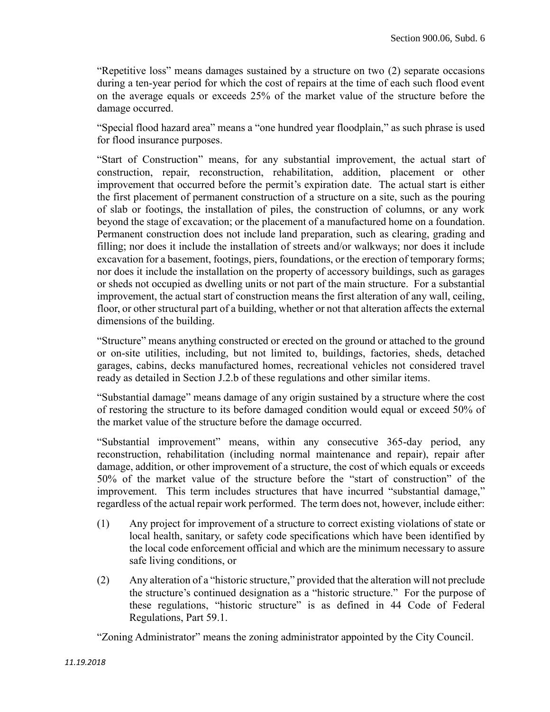"Repetitive loss" means damages sustained by a structure on two (2) separate occasions during a ten-year period for which the cost of repairs at the time of each such flood event on the average equals or exceeds 25% of the market value of the structure before the damage occurred.

"Special flood hazard area" means a "one hundred year floodplain," as such phrase is used for flood insurance purposes.

"Start of Construction" means, for any substantial improvement, the actual start of construction, repair, reconstruction, rehabilitation, addition, placement or other improvement that occurred before the permit's expiration date. The actual start is either the first placement of permanent construction of a structure on a site, such as the pouring of slab or footings, the installation of piles, the construction of columns, or any work beyond the stage of excavation; or the placement of a manufactured home on a foundation. Permanent construction does not include land preparation, such as clearing, grading and filling; nor does it include the installation of streets and/or walkways; nor does it include excavation for a basement, footings, piers, foundations, or the erection of temporary forms; nor does it include the installation on the property of accessory buildings, such as garages or sheds not occupied as dwelling units or not part of the main structure. For a substantial improvement, the actual start of construction means the first alteration of any wall, ceiling, floor, or other structural part of a building, whether or not that alteration affects the external dimensions of the building.

"Structure" means anything constructed or erected on the ground or attached to the ground or on-site utilities, including, but not limited to, buildings, factories, sheds, detached garages, cabins, decks manufactured homes, recreational vehicles not considered travel ready as detailed in Section J.2.b of these regulations and other similar items.

"Substantial damage" means damage of any origin sustained by a structure where the cost of restoring the structure to its before damaged condition would equal or exceed 50% of the market value of the structure before the damage occurred.

"Substantial improvement" means, within any consecutive 365-day period, any reconstruction, rehabilitation (including normal maintenance and repair), repair after damage, addition, or other improvement of a structure, the cost of which equals or exceeds 50% of the market value of the structure before the "start of construction" of the improvement. This term includes structures that have incurred "substantial damage," regardless of the actual repair work performed. The term does not, however, include either:

- (1) Any project for improvement of a structure to correct existing violations of state or local health, sanitary, or safety code specifications which have been identified by the local code enforcement official and which are the minimum necessary to assure safe living conditions, or
- (2) Any alteration of a "historic structure," provided that the alteration will not preclude the structure's continued designation as a "historic structure." For the purpose of these regulations, "historic structure" is as defined in 44 Code of Federal Regulations, Part 59.1.

"Zoning Administrator" means the zoning administrator appointed by the City Council.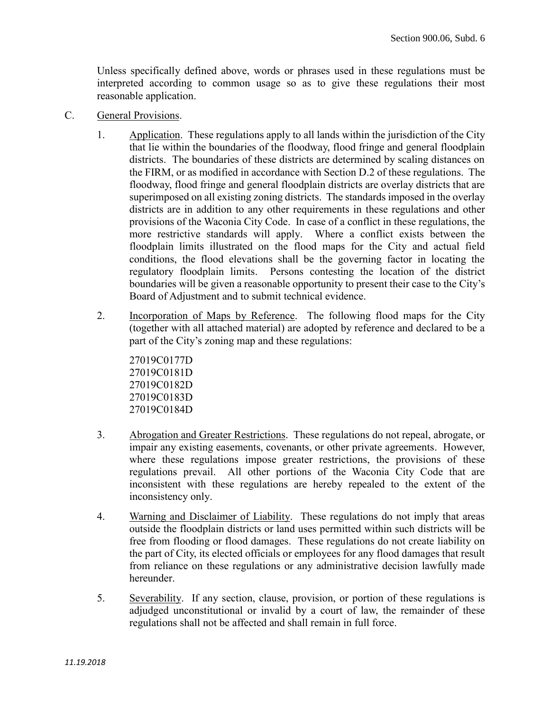Unless specifically defined above, words or phrases used in these regulations must be interpreted according to common usage so as to give these regulations their most reasonable application.

- C. General Provisions.
	- 1. Application. These regulations apply to all lands within the jurisdiction of the City that lie within the boundaries of the floodway, flood fringe and general floodplain districts. The boundaries of these districts are determined by scaling distances on the FIRM, or as modified in accordance with Section D.2 of these regulations. The floodway, flood fringe and general floodplain districts are overlay districts that are superimposed on all existing zoning districts. The standards imposed in the overlay districts are in addition to any other requirements in these regulations and other provisions of the Waconia City Code. In case of a conflict in these regulations, the more restrictive standards will apply. Where a conflict exists between the floodplain limits illustrated on the flood maps for the City and actual field conditions, the flood elevations shall be the governing factor in locating the regulatory floodplain limits. Persons contesting the location of the district boundaries will be given a reasonable opportunity to present their case to the City's Board of Adjustment and to submit technical evidence.
	- 2. Incorporation of Maps by Reference. The following flood maps for the City (together with all attached material) are adopted by reference and declared to be a part of the City's zoning map and these regulations:

27019C0177D 27019C0181D 27019C0182D 27019C0183D 27019C0184D

- 3. Abrogation and Greater Restrictions. These regulations do not repeal, abrogate, or impair any existing easements, covenants, or other private agreements. However, where these regulations impose greater restrictions, the provisions of these regulations prevail. All other portions of the Waconia City Code that are inconsistent with these regulations are hereby repealed to the extent of the inconsistency only.
- 4. Warning and Disclaimer of Liability. These regulations do not imply that areas outside the floodplain districts or land uses permitted within such districts will be free from flooding or flood damages. These regulations do not create liability on the part of City, its elected officials or employees for any flood damages that result from reliance on these regulations or any administrative decision lawfully made hereunder.
- 5. Severability. If any section, clause, provision, or portion of these regulations is adjudged unconstitutional or invalid by a court of law, the remainder of these regulations shall not be affected and shall remain in full force.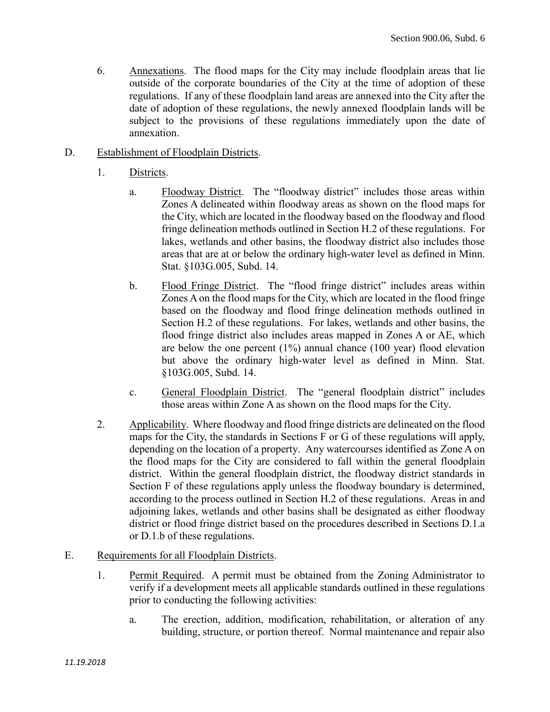- 6. Annexations. The flood maps for the City may include floodplain areas that lie outside of the corporate boundaries of the City at the time of adoption of these regulations. If any of these floodplain land areas are annexed into the City after the date of adoption of these regulations, the newly annexed floodplain lands will be subject to the provisions of these regulations immediately upon the date of annexation.
- D. Establishment of Floodplain Districts.
	- 1. Districts.
		- a. Floodway District. The "floodway district" includes those areas within Zones A delineated within floodway areas as shown on the flood maps for the City, which are located in the floodway based on the floodway and flood fringe delineation methods outlined in Section H.2 of these regulations. For lakes, wetlands and other basins, the floodway district also includes those areas that are at or below the ordinary high-water level as defined in Minn. Stat. §103G.005, Subd. 14.
		- b. Flood Fringe District. The "flood fringe district" includes areas within Zones A on the flood maps for the City, which are located in the flood fringe based on the floodway and flood fringe delineation methods outlined in Section H.2 of these regulations. For lakes, wetlands and other basins, the flood fringe district also includes areas mapped in Zones A or AE, which are below the one percent  $(1\%)$  annual chance  $(100 \text{ year})$  flood elevation but above the ordinary high-water level as defined in Minn. Stat. §103G.005, Subd. 14.
		- c. General Floodplain District. The "general floodplain district" includes those areas within Zone A as shown on the flood maps for the City.
	- 2. Applicability. Where floodway and flood fringe districts are delineated on the flood maps for the City, the standards in Sections F or G of these regulations will apply, depending on the location of a property. Any watercourses identified as Zone A on the flood maps for the City are considered to fall within the general floodplain district. Within the general floodplain district, the floodway district standards in Section F of these regulations apply unless the floodway boundary is determined, according to the process outlined in Section H.2 of these regulations. Areas in and adjoining lakes, wetlands and other basins shall be designated as either floodway district or flood fringe district based on the procedures described in Sections D.1.a or D.1.b of these regulations.
- E. Requirements for all Floodplain Districts.
	- 1. Permit Required. A permit must be obtained from the Zoning Administrator to verify if a development meets all applicable standards outlined in these regulations prior to conducting the following activities:
		- a. The erection, addition, modification, rehabilitation, or alteration of any building, structure, or portion thereof. Normal maintenance and repair also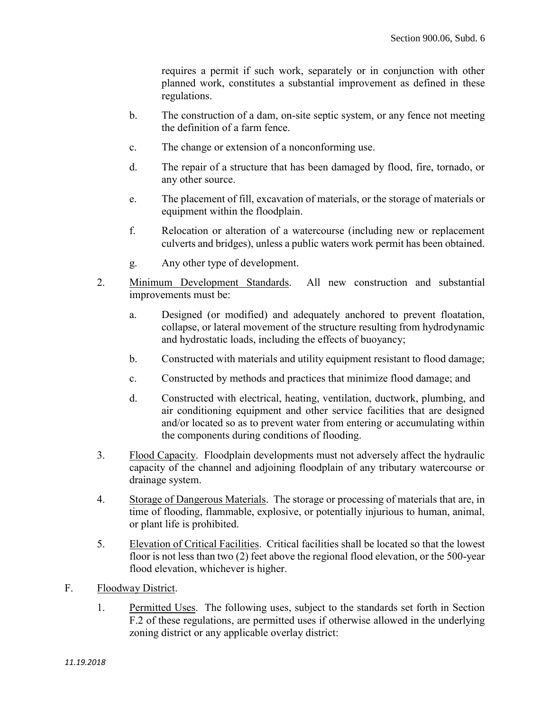requires a permit if such work, separately or in conjunction with other planned work, constitutes a substantial improvement as defined in these regulations.

- b. The construction of a dam, on-site septic system, or any fence not meeting the definition of a farm fence.
- c. The change or extension of a nonconforming use.
- d. The repair of a structure that has been damaged by flood, fire, tornado, or any other source.
- e. The placement of fill, excavation of materials, or the storage of materials or equipment within the floodplain.
- f. Relocation or alteration of a watercourse (including new or replacement culverts and bridges), unless a public waters work permit has been obtained.
- g. Any other type of development.
- 2. Minimum Development Standards. All new construction and substantial improvements must be:
	- a. Designed (or modified) and adequately anchored to prevent floatation, collapse, or lateral movement of the structure resulting from hydrodynamic and hydrostatic loads, including the effects of buoyancy;
	- b. Constructed with materials and utility equipment resistant to flood damage;
	- c. Constructed by methods and practices that minimize flood damage; and
	- d. Constructed with electrical, heating, ventilation, ductwork, plumbing, and air conditioning equipment and other service facilities that are designed and/or located so as to prevent water from entering or accumulating within the components during conditions of flooding.
- 3. Flood Capacity. Floodplain developments must not adversely affect the hydraulic capacity of the channel and adjoining floodplain of any tributary watercourse or drainage system.
- 4. Storage of Dangerous Materials. The storage or processing of materials that are, in time of flooding, flammable, explosive, or potentially injurious to human, animal, or plant life is prohibited.
- 5. Elevation of Critical Facilities. Critical facilities shall be located so that the lowest floor is not less than two (2) feet above the regional flood elevation, or the 500-year flood elevation, whichever is higher.
- F. Floodway District.
	- 1. Permitted Uses. The following uses, subject to the standards set forth in Section F.2 of these regulations, are permitted uses if otherwise allowed in the underlying zoning district or any applicable overlay district: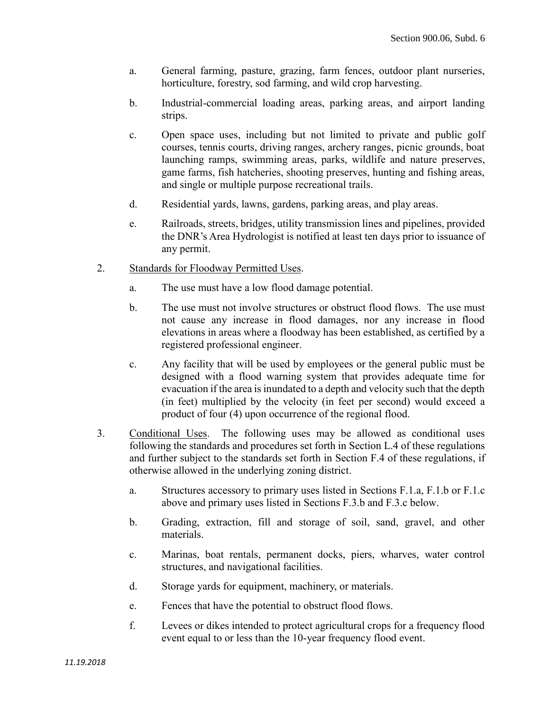- a. General farming, pasture, grazing, farm fences, outdoor plant nurseries, horticulture, forestry, sod farming, and wild crop harvesting.
- b. Industrial-commercial loading areas, parking areas, and airport landing strips.
- c. Open space uses, including but not limited to private and public golf courses, tennis courts, driving ranges, archery ranges, picnic grounds, boat launching ramps, swimming areas, parks, wildlife and nature preserves, game farms, fish hatcheries, shooting preserves, hunting and fishing areas, and single or multiple purpose recreational trails.
- d. Residential yards, lawns, gardens, parking areas, and play areas.
- e. Railroads, streets, bridges, utility transmission lines and pipelines, provided the DNR's Area Hydrologist is notified at least ten days prior to issuance of any permit.
- 2. Standards for Floodway Permitted Uses.
	- a. The use must have a low flood damage potential.
	- b. The use must not involve structures or obstruct flood flows. The use must not cause any increase in flood damages, nor any increase in flood elevations in areas where a floodway has been established, as certified by a registered professional engineer.
	- c. Any facility that will be used by employees or the general public must be designed with a flood warning system that provides adequate time for evacuation if the area is inundated to a depth and velocity such that the depth (in feet) multiplied by the velocity (in feet per second) would exceed a product of four (4) upon occurrence of the regional flood.
- 3. Conditional Uses. The following uses may be allowed as conditional uses following the standards and procedures set forth in Section L.4 of these regulations and further subject to the standards set forth in Section F.4 of these regulations, if otherwise allowed in the underlying zoning district.
	- a. Structures accessory to primary uses listed in Sections F.1.a, F.1.b or F.1.c above and primary uses listed in Sections F.3.b and F.3.c below.
	- b. Grading, extraction, fill and storage of soil, sand, gravel, and other materials.
	- c. Marinas, boat rentals, permanent docks, piers, wharves, water control structures, and navigational facilities.
	- d. Storage yards for equipment, machinery, or materials.
	- e. Fences that have the potential to obstruct flood flows.
	- f. Levees or dikes intended to protect agricultural crops for a frequency flood event equal to or less than the 10-year frequency flood event.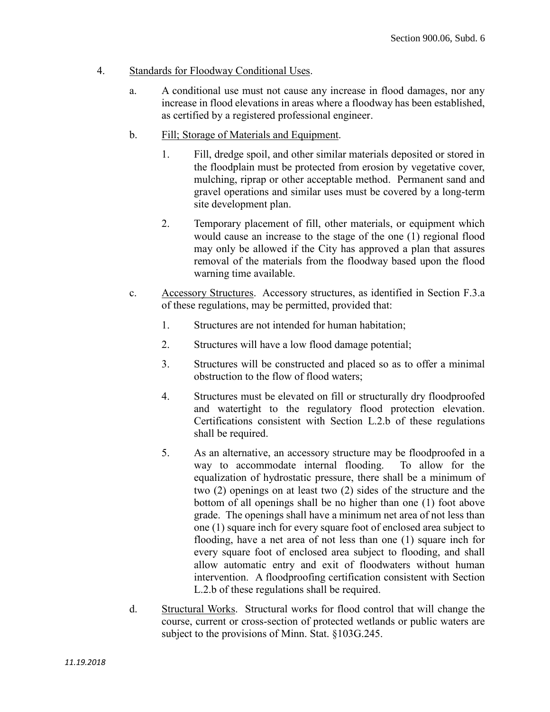#### 4. Standards for Floodway Conditional Uses.

- a. A conditional use must not cause any increase in flood damages, nor any increase in flood elevations in areas where a floodway has been established, as certified by a registered professional engineer.
- b. Fill; Storage of Materials and Equipment.
	- 1. Fill, dredge spoil, and other similar materials deposited or stored in the floodplain must be protected from erosion by vegetative cover, mulching, riprap or other acceptable method. Permanent sand and gravel operations and similar uses must be covered by a long-term site development plan.
	- 2. Temporary placement of fill, other materials, or equipment which would cause an increase to the stage of the one (1) regional flood may only be allowed if the City has approved a plan that assures removal of the materials from the floodway based upon the flood warning time available.
- c. Accessory Structures. Accessory structures, as identified in Section F.3.a of these regulations, may be permitted, provided that:
	- 1. Structures are not intended for human habitation;
	- 2. Structures will have a low flood damage potential;
	- 3. Structures will be constructed and placed so as to offer a minimal obstruction to the flow of flood waters;
	- 4. Structures must be elevated on fill or structurally dry floodproofed and watertight to the regulatory flood protection elevation. Certifications consistent with Section L.2.b of these regulations shall be required.
	- 5. As an alternative, an accessory structure may be floodproofed in a way to accommodate internal flooding. To allow for the equalization of hydrostatic pressure, there shall be a minimum of two (2) openings on at least two (2) sides of the structure and the bottom of all openings shall be no higher than one (1) foot above grade. The openings shall have a minimum net area of not less than one (1) square inch for every square foot of enclosed area subject to flooding, have a net area of not less than one (1) square inch for every square foot of enclosed area subject to flooding, and shall allow automatic entry and exit of floodwaters without human intervention. A floodproofing certification consistent with Section L.2.b of these regulations shall be required.
- d. Structural Works. Structural works for flood control that will change the course, current or cross-section of protected wetlands or public waters are subject to the provisions of Minn. Stat. §103G.245.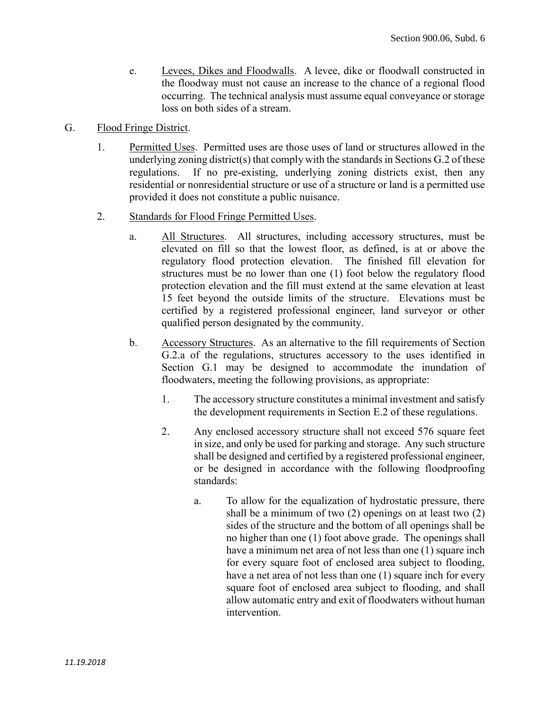- e. Levees, Dikes and Floodwalls. A levee, dike or floodwall constructed in the floodway must not cause an increase to the chance of a regional flood occurring. The technical analysis must assume equal conveyance or storage loss on both sides of a stream.
- G. Flood Fringe District.
	- 1. Permitted Uses. Permitted uses are those uses of land or structures allowed in the underlying zoning district(s) that comply with the standards in Sections  $G<sub>2</sub>$  of these regulations. If no pre-existing, underlying zoning districts exist, then any residential or nonresidential structure or use of a structure or land is a permitted use provided it does not constitute a public nuisance.
	- 2. Standards for Flood Fringe Permitted Uses.
		- a. All Structures. All structures, including accessory structures, must be elevated on fill so that the lowest floor, as defined, is at or above the regulatory flood protection elevation. The finished fill elevation for structures must be no lower than one (1) foot below the regulatory flood protection elevation and the fill must extend at the same elevation at least 15 feet beyond the outside limits of the structure. Elevations must be certified by a registered professional engineer, land surveyor or other qualified person designated by the community.
		- b. Accessory Structures. As an alternative to the fill requirements of Section G.2.a of the regulations, structures accessory to the uses identified in Section G.1 may be designed to accommodate the inundation of floodwaters, meeting the following provisions, as appropriate:
			- 1. The accessory structure constitutes a minimal investment and satisfy the development requirements in Section E.2 of these regulations.
			- 2. Any enclosed accessory structure shall not exceed 576 square feet in size, and only be used for parking and storage. Any such structure shall be designed and certified by a registered professional engineer, or be designed in accordance with the following floodproofing standards:
				- a. To allow for the equalization of hydrostatic pressure, there shall be a minimum of two (2) openings on at least two (2) sides of the structure and the bottom of all openings shall be no higher than one (1) foot above grade. The openings shall have a minimum net area of not less than one (1) square inch for every square foot of enclosed area subject to flooding, have a net area of not less than one (1) square inch for every square foot of enclosed area subject to flooding, and shall allow automatic entry and exit of floodwaters without human intervention.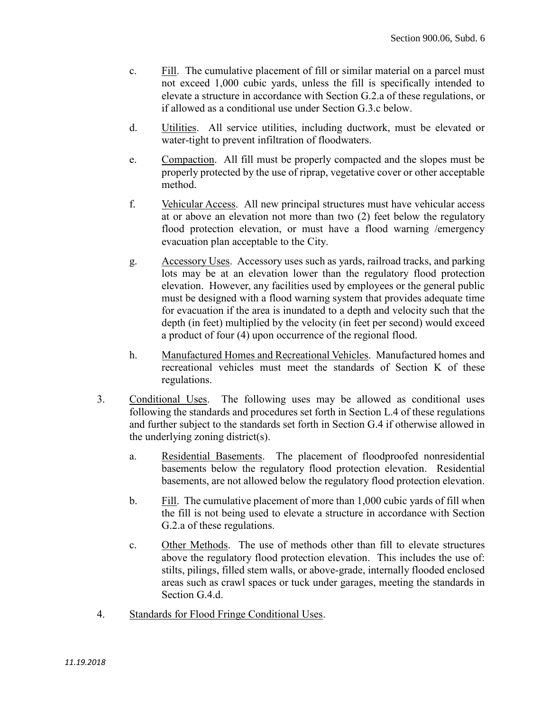- c. Fill. The cumulative placement of fill or similar material on a parcel must not exceed 1,000 cubic yards, unless the fill is specifically intended to elevate a structure in accordance with Section G.2.a of these regulations, or if allowed as a conditional use under Section G.3.c below.
- d. Utilities. All service utilities, including ductwork, must be elevated or water-tight to prevent infiltration of floodwaters.
- e. Compaction. All fill must be properly compacted and the slopes must be properly protected by the use of riprap, vegetative cover or other acceptable method.
- f. Vehicular Access. All new principal structures must have vehicular access at or above an elevation not more than two (2) feet below the regulatory flood protection elevation, or must have a flood warning /emergency evacuation plan acceptable to the City.
- g. Accessory Uses. Accessory uses such as yards, railroad tracks, and parking lots may be at an elevation lower than the regulatory flood protection elevation. However, any facilities used by employees or the general public must be designed with a flood warning system that provides adequate time for evacuation if the area is inundated to a depth and velocity such that the depth (in feet) multiplied by the velocity (in feet per second) would exceed a product of four (4) upon occurrence of the regional flood.
- h. Manufactured Homes and Recreational Vehicles. Manufactured homes and recreational vehicles must meet the standards of Section K of these regulations.
- 3. Conditional Uses. The following uses may be allowed as conditional uses following the standards and procedures set forth in Section L.4 of these regulations and further subject to the standards set forth in Section G.4 if otherwise allowed in the underlying zoning district(s).
	- a. Residential Basements. The placement of floodproofed nonresidential basements below the regulatory flood protection elevation. Residential basements, are not allowed below the regulatory flood protection elevation.
	- b. Fill. The cumulative placement of more than 1,000 cubic yards of fill when the fill is not being used to elevate a structure in accordance with Section G.2.a of these regulations.
	- c. Other Methods. The use of methods other than fill to elevate structures above the regulatory flood protection elevation. This includes the use of: stilts, pilings, filled stem walls, or above-grade, internally flooded enclosed areas such as crawl spaces or tuck under garages, meeting the standards in Section G.4.d.
- 4. Standards for Flood Fringe Conditional Uses.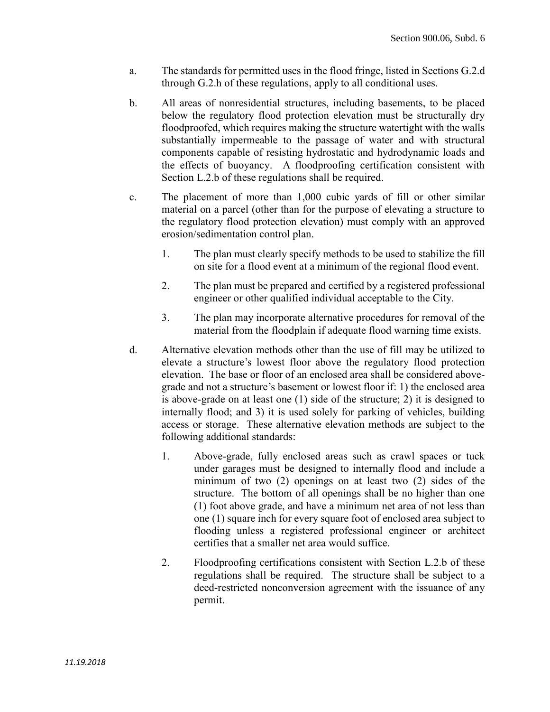- a. The standards for permitted uses in the flood fringe, listed in Sections G.2.d through G.2.h of these regulations, apply to all conditional uses.
- b. All areas of nonresidential structures, including basements, to be placed below the regulatory flood protection elevation must be structurally dry floodproofed, which requires making the structure watertight with the walls substantially impermeable to the passage of water and with structural components capable of resisting hydrostatic and hydrodynamic loads and the effects of buoyancy. A floodproofing certification consistent with Section L.2.b of these regulations shall be required.
- c. The placement of more than 1,000 cubic yards of fill or other similar material on a parcel (other than for the purpose of elevating a structure to the regulatory flood protection elevation) must comply with an approved erosion/sedimentation control plan.
	- 1. The plan must clearly specify methods to be used to stabilize the fill on site for a flood event at a minimum of the regional flood event.
	- 2. The plan must be prepared and certified by a registered professional engineer or other qualified individual acceptable to the City.
	- 3. The plan may incorporate alternative procedures for removal of the material from the floodplain if adequate flood warning time exists.
- d. Alternative elevation methods other than the use of fill may be utilized to elevate a structure's lowest floor above the regulatory flood protection elevation. The base or floor of an enclosed area shall be considered abovegrade and not a structure's basement or lowest floor if: 1) the enclosed area is above-grade on at least one (1) side of the structure; 2) it is designed to internally flood; and 3) it is used solely for parking of vehicles, building access or storage. These alternative elevation methods are subject to the following additional standards:
	- 1. Above-grade, fully enclosed areas such as crawl spaces or tuck under garages must be designed to internally flood and include a minimum of two (2) openings on at least two (2) sides of the structure. The bottom of all openings shall be no higher than one (1) foot above grade, and have a minimum net area of not less than one (1) square inch for every square foot of enclosed area subject to flooding unless a registered professional engineer or architect certifies that a smaller net area would suffice.
	- 2. Floodproofing certifications consistent with Section L.2.b of these regulations shall be required. The structure shall be subject to a deed-restricted nonconversion agreement with the issuance of any permit.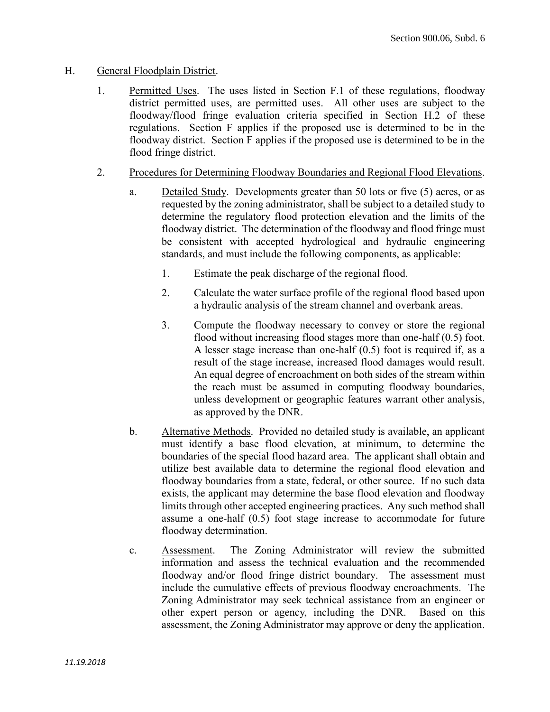## H. General Floodplain District.

- 1. Permitted Uses. The uses listed in Section F.1 of these regulations, floodway district permitted uses, are permitted uses. All other uses are subject to the floodway/flood fringe evaluation criteria specified in Section H.2 of these regulations. Section F applies if the proposed use is determined to be in the floodway district. Section F applies if the proposed use is determined to be in the flood fringe district.
- 2. Procedures for Determining Floodway Boundaries and Regional Flood Elevations.
	- a. Detailed Study. Developments greater than 50 lots or five (5) acres, or as requested by the zoning administrator, shall be subject to a detailed study to determine the regulatory flood protection elevation and the limits of the floodway district. The determination of the floodway and flood fringe must be consistent with accepted hydrological and hydraulic engineering standards, and must include the following components, as applicable:
		- 1. Estimate the peak discharge of the regional flood.
		- 2. Calculate the water surface profile of the regional flood based upon a hydraulic analysis of the stream channel and overbank areas.
		- 3. Compute the floodway necessary to convey or store the regional flood without increasing flood stages more than one-half (0.5) foot. A lesser stage increase than one-half (0.5) foot is required if, as a result of the stage increase, increased flood damages would result. An equal degree of encroachment on both sides of the stream within the reach must be assumed in computing floodway boundaries, unless development or geographic features warrant other analysis, as approved by the DNR.
	- b. Alternative Methods. Provided no detailed study is available, an applicant must identify a base flood elevation, at minimum, to determine the boundaries of the special flood hazard area. The applicant shall obtain and utilize best available data to determine the regional flood elevation and floodway boundaries from a state, federal, or other source. If no such data exists, the applicant may determine the base flood elevation and floodway limits through other accepted engineering practices. Any such method shall assume a one-half (0.5) foot stage increase to accommodate for future floodway determination.
	- c. Assessment. The Zoning Administrator will review the submitted information and assess the technical evaluation and the recommended floodway and/or flood fringe district boundary. The assessment must include the cumulative effects of previous floodway encroachments. The Zoning Administrator may seek technical assistance from an engineer or other expert person or agency, including the DNR. Based on this assessment, the Zoning Administrator may approve or deny the application.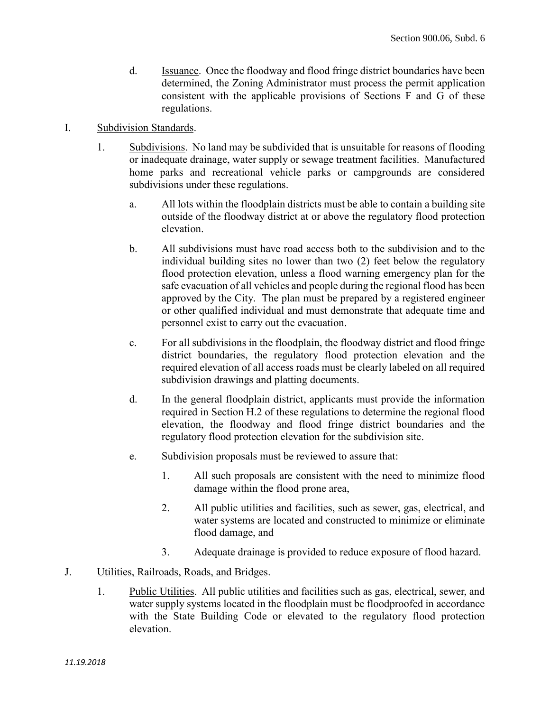- d. Issuance. Once the floodway and flood fringe district boundaries have been determined, the Zoning Administrator must process the permit application consistent with the applicable provisions of Sections F and G of these regulations.
- I. Subdivision Standards.
	- 1. Subdivisions. No land may be subdivided that is unsuitable for reasons of flooding or inadequate drainage, water supply or sewage treatment facilities. Manufactured home parks and recreational vehicle parks or campgrounds are considered subdivisions under these regulations.
		- a. All lots within the floodplain districts must be able to contain a building site outside of the floodway district at or above the regulatory flood protection elevation.
		- b. All subdivisions must have road access both to the subdivision and to the individual building sites no lower than two (2) feet below the regulatory flood protection elevation, unless a flood warning emergency plan for the safe evacuation of all vehicles and people during the regional flood has been approved by the City. The plan must be prepared by a registered engineer or other qualified individual and must demonstrate that adequate time and personnel exist to carry out the evacuation.
		- c. For all subdivisions in the floodplain, the floodway district and flood fringe district boundaries, the regulatory flood protection elevation and the required elevation of all access roads must be clearly labeled on all required subdivision drawings and platting documents.
		- d. In the general floodplain district, applicants must provide the information required in Section H.2 of these regulations to determine the regional flood elevation, the floodway and flood fringe district boundaries and the regulatory flood protection elevation for the subdivision site.
		- e. Subdivision proposals must be reviewed to assure that:
			- 1. All such proposals are consistent with the need to minimize flood damage within the flood prone area,
			- 2. All public utilities and facilities, such as sewer, gas, electrical, and water systems are located and constructed to minimize or eliminate flood damage, and
			- 3. Adequate drainage is provided to reduce exposure of flood hazard.

# J. Utilities, Railroads, Roads, and Bridges.

1. Public Utilities. All public utilities and facilities such as gas, electrical, sewer, and water supply systems located in the floodplain must be floodproofed in accordance with the State Building Code or elevated to the regulatory flood protection elevation.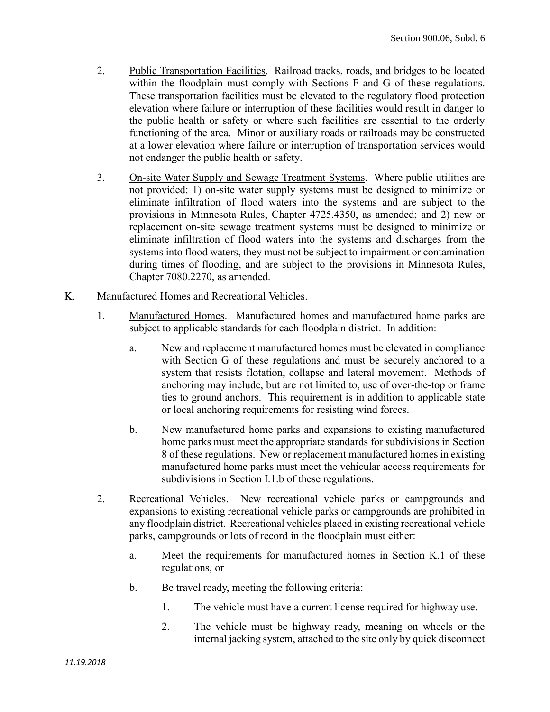- 2. Public Transportation Facilities. Railroad tracks, roads, and bridges to be located within the floodplain must comply with Sections F and G of these regulations. These transportation facilities must be elevated to the regulatory flood protection elevation where failure or interruption of these facilities would result in danger to the public health or safety or where such facilities are essential to the orderly functioning of the area. Minor or auxiliary roads or railroads may be constructed at a lower elevation where failure or interruption of transportation services would not endanger the public health or safety.
- 3. On-site Water Supply and Sewage Treatment Systems. Where public utilities are not provided: 1) on-site water supply systems must be designed to minimize or eliminate infiltration of flood waters into the systems and are subject to the provisions in Minnesota Rules, Chapter 4725.4350, as amended; and 2) new or replacement on-site sewage treatment systems must be designed to minimize or eliminate infiltration of flood waters into the systems and discharges from the systems into flood waters, they must not be subject to impairment or contamination during times of flooding, and are subject to the provisions in Minnesota Rules, Chapter 7080.2270, as amended.
- K. Manufactured Homes and Recreational Vehicles.
	- 1. Manufactured Homes. Manufactured homes and manufactured home parks are subject to applicable standards for each floodplain district. In addition:
		- a. New and replacement manufactured homes must be elevated in compliance with Section G of these regulations and must be securely anchored to a system that resists flotation, collapse and lateral movement. Methods of anchoring may include, but are not limited to, use of over-the-top or frame ties to ground anchors. This requirement is in addition to applicable state or local anchoring requirements for resisting wind forces.
		- b. New manufactured home parks and expansions to existing manufactured home parks must meet the appropriate standards for subdivisions in Section 8 of these regulations. New or replacement manufactured homes in existing manufactured home parks must meet the vehicular access requirements for subdivisions in Section I.1.b of these regulations.
	- 2. Recreational Vehicles. New recreational vehicle parks or campgrounds and expansions to existing recreational vehicle parks or campgrounds are prohibited in any floodplain district. Recreational vehicles placed in existing recreational vehicle parks, campgrounds or lots of record in the floodplain must either:
		- a. Meet the requirements for manufactured homes in Section K.1 of these regulations, or
		- b. Be travel ready, meeting the following criteria:
			- 1. The vehicle must have a current license required for highway use.
			- 2. The vehicle must be highway ready, meaning on wheels or the internal jacking system, attached to the site only by quick disconnect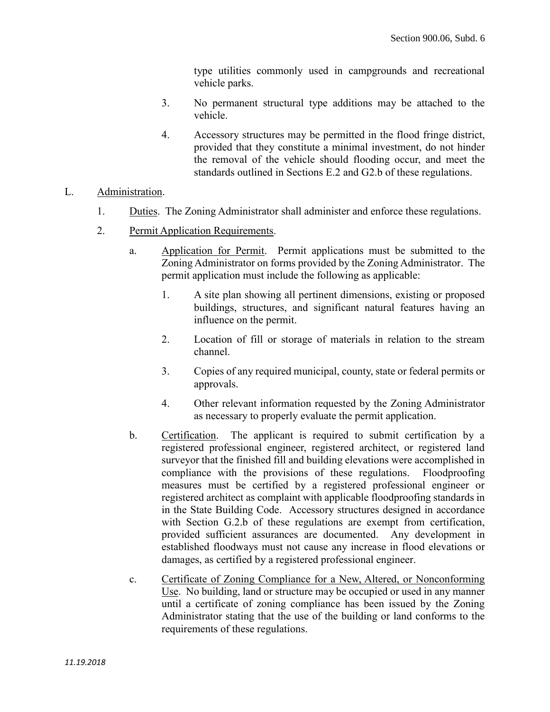type utilities commonly used in campgrounds and recreational vehicle parks.

- 3. No permanent structural type additions may be attached to the vehicle.
- 4. Accessory structures may be permitted in the flood fringe district, provided that they constitute a minimal investment, do not hinder the removal of the vehicle should flooding occur, and meet the standards outlined in Sections E.2 and G2.b of these regulations.

## L. Administration.

- 1. Duties. The Zoning Administrator shall administer and enforce these regulations.
- 2. Permit Application Requirements.
	- a. Application for Permit. Permit applications must be submitted to the Zoning Administrator on forms provided by the Zoning Administrator. The permit application must include the following as applicable:
		- 1. A site plan showing all pertinent dimensions, existing or proposed buildings, structures, and significant natural features having an influence on the permit.
		- 2. Location of fill or storage of materials in relation to the stream channel.
		- 3. Copies of any required municipal, county, state or federal permits or approvals.
		- 4. Other relevant information requested by the Zoning Administrator as necessary to properly evaluate the permit application.
	- b. Certification. The applicant is required to submit certification by a registered professional engineer, registered architect, or registered land surveyor that the finished fill and building elevations were accomplished in compliance with the provisions of these regulations. Floodproofing measures must be certified by a registered professional engineer or registered architect as complaint with applicable floodproofing standards in in the State Building Code. Accessory structures designed in accordance with Section G.2.b of these regulations are exempt from certification, provided sufficient assurances are documented. Any development in established floodways must not cause any increase in flood elevations or damages, as certified by a registered professional engineer.
	- c. Certificate of Zoning Compliance for a New, Altered, or Nonconforming Use. No building, land or structure may be occupied or used in any manner until a certificate of zoning compliance has been issued by the Zoning Administrator stating that the use of the building or land conforms to the requirements of these regulations.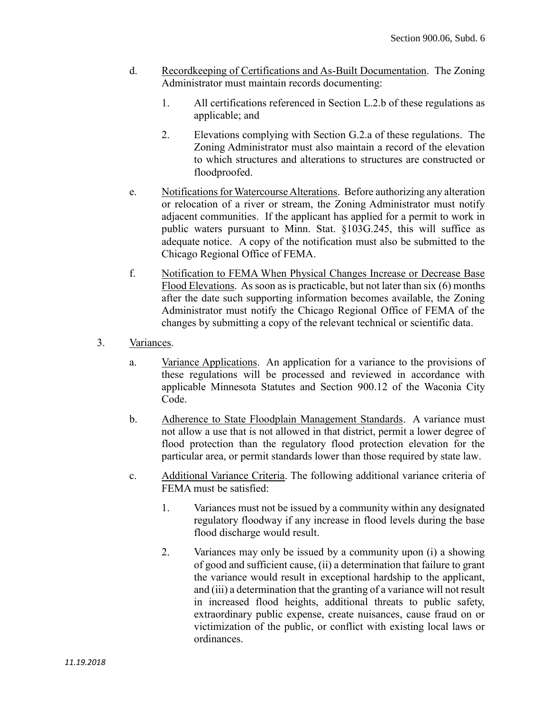- d. Recordkeeping of Certifications and As-Built Documentation. The Zoning Administrator must maintain records documenting:
	- 1. All certifications referenced in Section L.2.b of these regulations as applicable; and
	- 2. Elevations complying with Section G.2.a of these regulations. The Zoning Administrator must also maintain a record of the elevation to which structures and alterations to structures are constructed or floodproofed.
- e. Notifications for Watercourse Alterations. Before authorizing any alteration or relocation of a river or stream, the Zoning Administrator must notify adjacent communities. If the applicant has applied for a permit to work in public waters pursuant to Minn. Stat. §103G.245, this will suffice as adequate notice. A copy of the notification must also be submitted to the Chicago Regional Office of FEMA.
- f. Notification to FEMA When Physical Changes Increase or Decrease Base Flood Elevations. As soon as is practicable, but not later than six (6) months after the date such supporting information becomes available, the Zoning Administrator must notify the Chicago Regional Office of FEMA of the changes by submitting a copy of the relevant technical or scientific data.
- 3. Variances.
	- a. Variance Applications. An application for a variance to the provisions of these regulations will be processed and reviewed in accordance with applicable Minnesota Statutes and Section 900.12 of the Waconia City Code.
	- b. Adherence to State Floodplain Management Standards. A variance must not allow a use that is not allowed in that district, permit a lower degree of flood protection than the regulatory flood protection elevation for the particular area, or permit standards lower than those required by state law.
	- c. Additional Variance Criteria. The following additional variance criteria of FEMA must be satisfied:
		- 1. Variances must not be issued by a community within any designated regulatory floodway if any increase in flood levels during the base flood discharge would result.
		- 2. Variances may only be issued by a community upon (i) a showing of good and sufficient cause, (ii) a determination that failure to grant the variance would result in exceptional hardship to the applicant, and (iii) a determination that the granting of a variance will not result in increased flood heights, additional threats to public safety, extraordinary public expense, create nuisances, cause fraud on or victimization of the public, or conflict with existing local laws or ordinances.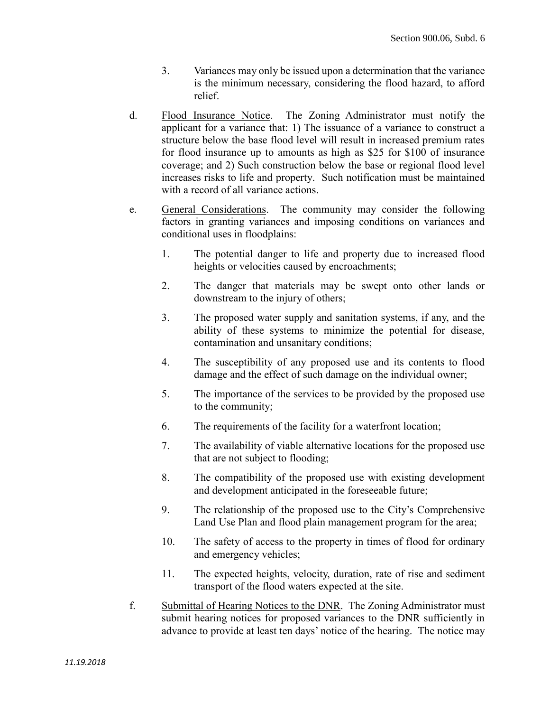- 3. Variances may only be issued upon a determination that the variance is the minimum necessary, considering the flood hazard, to afford relief.
- d. Flood Insurance Notice. The Zoning Administrator must notify the applicant for a variance that: 1) The issuance of a variance to construct a structure below the base flood level will result in increased premium rates for flood insurance up to amounts as high as \$25 for \$100 of insurance coverage; and 2) Such construction below the base or regional flood level increases risks to life and property. Such notification must be maintained with a record of all variance actions.
- e. General Considerations. The community may consider the following factors in granting variances and imposing conditions on variances and conditional uses in floodplains:
	- 1. The potential danger to life and property due to increased flood heights or velocities caused by encroachments;
	- 2. The danger that materials may be swept onto other lands or downstream to the injury of others;
	- 3. The proposed water supply and sanitation systems, if any, and the ability of these systems to minimize the potential for disease, contamination and unsanitary conditions;
	- 4. The susceptibility of any proposed use and its contents to flood damage and the effect of such damage on the individual owner;
	- 5. The importance of the services to be provided by the proposed use to the community;
	- 6. The requirements of the facility for a waterfront location;
	- 7. The availability of viable alternative locations for the proposed use that are not subject to flooding;
	- 8. The compatibility of the proposed use with existing development and development anticipated in the foreseeable future;
	- 9. The relationship of the proposed use to the City's Comprehensive Land Use Plan and flood plain management program for the area;
	- 10. The safety of access to the property in times of flood for ordinary and emergency vehicles;
	- 11. The expected heights, velocity, duration, rate of rise and sediment transport of the flood waters expected at the site.
- f. Submittal of Hearing Notices to the DNR. The Zoning Administrator must submit hearing notices for proposed variances to the DNR sufficiently in advance to provide at least ten days' notice of the hearing. The notice may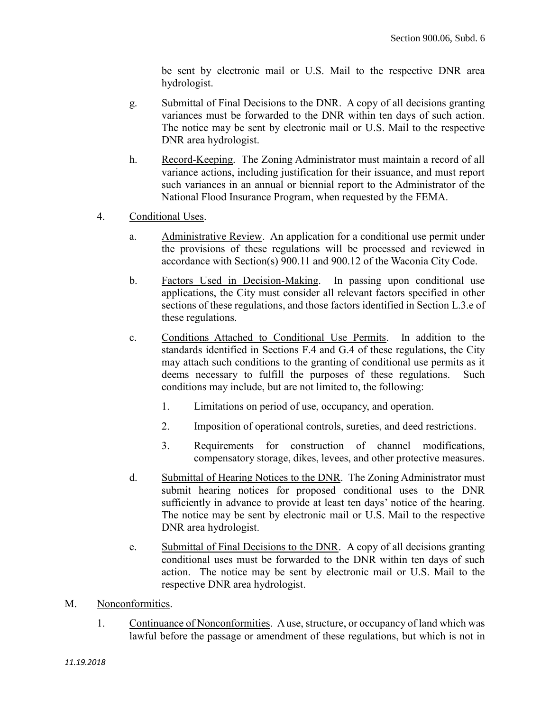be sent by electronic mail or U.S. Mail to the respective DNR area hydrologist.

- g. Submittal of Final Decisions to the DNR. A copy of all decisions granting variances must be forwarded to the DNR within ten days of such action. The notice may be sent by electronic mail or U.S. Mail to the respective DNR area hydrologist.
- h. Record-Keeping. The Zoning Administrator must maintain a record of all variance actions, including justification for their issuance, and must report such variances in an annual or biennial report to the Administrator of the National Flood Insurance Program, when requested by the FEMA.
- 4. Conditional Uses.
	- a. Administrative Review. An application for a conditional use permit under the provisions of these regulations will be processed and reviewed in accordance with Section(s) 900.11 and 900.12 of the Waconia City Code.
	- b. Factors Used in Decision-Making. In passing upon conditional use applications, the City must consider all relevant factors specified in other sections of these regulations, and those factors identified in Section L.3.e of these regulations.
	- c. Conditions Attached to Conditional Use Permits. In addition to the standards identified in Sections F.4 and G.4 of these regulations, the City may attach such conditions to the granting of conditional use permits as it deems necessary to fulfill the purposes of these regulations. Such conditions may include, but are not limited to, the following:
		- 1. Limitations on period of use, occupancy, and operation.
		- 2. Imposition of operational controls, sureties, and deed restrictions.
		- 3. Requirements for construction of channel modifications, compensatory storage, dikes, levees, and other protective measures.
	- d. Submittal of Hearing Notices to the DNR. The Zoning Administrator must submit hearing notices for proposed conditional uses to the DNR sufficiently in advance to provide at least ten days' notice of the hearing. The notice may be sent by electronic mail or U.S. Mail to the respective DNR area hydrologist.
	- e. Submittal of Final Decisions to the DNR. A copy of all decisions granting conditional uses must be forwarded to the DNR within ten days of such action. The notice may be sent by electronic mail or U.S. Mail to the respective DNR area hydrologist.
- M. Nonconformities.
	- 1. Continuance of Nonconformities. A use, structure, or occupancy of land which was lawful before the passage or amendment of these regulations, but which is not in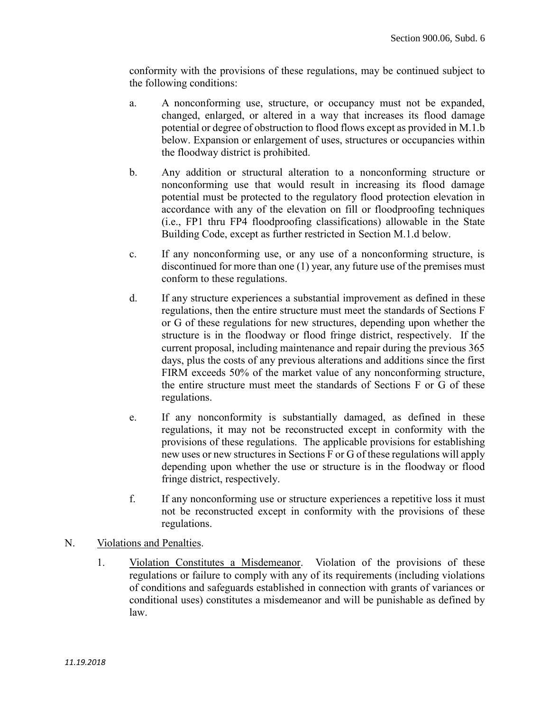conformity with the provisions of these regulations, may be continued subject to the following conditions:

- a. A nonconforming use, structure, or occupancy must not be expanded, changed, enlarged, or altered in a way that increases its flood damage potential or degree of obstruction to flood flows except as provided in M.1.b below. Expansion or enlargement of uses, structures or occupancies within the floodway district is prohibited.
- b. Any addition or structural alteration to a nonconforming structure or nonconforming use that would result in increasing its flood damage potential must be protected to the regulatory flood protection elevation in accordance with any of the elevation on fill or floodproofing techniques (i.e., FP1 thru FP4 floodproofing classifications) allowable in the State Building Code, except as further restricted in Section M.1.d below.
- c. If any nonconforming use, or any use of a nonconforming structure, is discontinued for more than one (1) year, any future use of the premises must conform to these regulations.
- d. If any structure experiences a substantial improvement as defined in these regulations, then the entire structure must meet the standards of Sections F or G of these regulations for new structures, depending upon whether the structure is in the floodway or flood fringe district, respectively. If the current proposal, including maintenance and repair during the previous 365 days, plus the costs of any previous alterations and additions since the first FIRM exceeds 50% of the market value of any nonconforming structure, the entire structure must meet the standards of Sections F or G of these regulations.
- e. If any nonconformity is substantially damaged, as defined in these regulations, it may not be reconstructed except in conformity with the provisions of these regulations. The applicable provisions for establishing new uses or new structures in Sections F or G of these regulations will apply depending upon whether the use or structure is in the floodway or flood fringe district, respectively.
- f. If any nonconforming use or structure experiences a repetitive loss it must not be reconstructed except in conformity with the provisions of these regulations.
- N. Violations and Penalties.
	- 1. Violation Constitutes a Misdemeanor. Violation of the provisions of these regulations or failure to comply with any of its requirements (including violations of conditions and safeguards established in connection with grants of variances or conditional uses) constitutes a misdemeanor and will be punishable as defined by law.